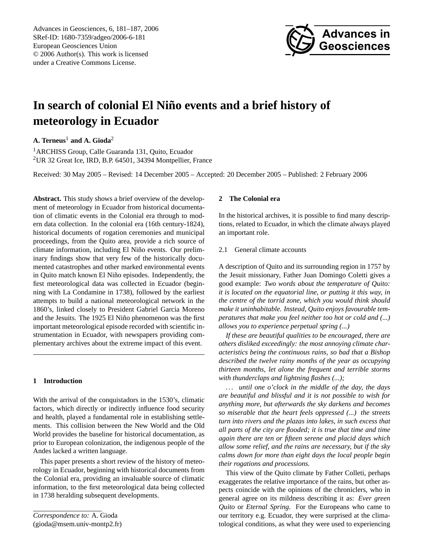Advances in Geosciences, 6, 181[–187,](#page-0-0) 2006 SRef-ID: 1680-7359/adgeo/2006-6-181 European Geosciences Union © 2006 Author(s). This work is licensed under a Creative Commons License.



# In search of colonial El Niño events and a brief history of **meteorology in Ecuador**

**A. Terneus**<sup>1</sup> **and A. Gioda**<sup>2</sup>

<sup>1</sup> ARCHISS Group, Calle Guaranda 131, Quito, Ecuador <sup>2</sup>UR 32 Great Ice, IRD, B.P. 64501, 34394 Montpellier, France

Received: 30 May 2005 – Revised: 14 December 2005 – Accepted: 20 December 2005 – Published: 2 February 2006

**Abstract.** This study shows a brief overview of the development of meteorology in Ecuador from historical documentation of climatic events in the Colonial era through to modern data collection. In the colonial era (16th century-1824), historical documents of rogation ceremonies and municipal proceedings, from the Quito area, provide a rich source of climate information, including El Niño events. Our preliminary findings show that very few of the historically documented catastrophes and other marked environmental events in Quito match known El Niño episodes. Independently, the first meteorological data was collected in Ecuador (beginning with La Condamine in 1738), followed by the earliest attempts to build a national meteorological network in the 1860's, linked closely to President Gabriel García Moreno and the Jesuits. The 1925 El Niño phenomenon was the first important meteorological episode recorded with scientific instrumentation in Ecuador, with newspapers providing complementary archives about the extreme impact of this event.

# **1 Introduction**

With the arrival of the conquistadors in the 1530's, climatic factors, which directly or indirectly influence food security and health, played a fundamental role in establishing settlements. This collision between the New World and the Old World provides the baseline for historical documentation, as prior to European colonization, the indigenous people of the Andes lacked a written language.

This paper presents a short review of the history of meteorology in Ecuador, beginning with historical documents from the Colonial era, providing an invaluable source of climatic information, to the first meteorological data being collected in 1738 heralding subsequent developments.

<span id="page-0-0"></span>*Correspondence to:* A. Gioda (gioda@msem.univ-montp2.fr)

# **2 The Colonial era**

In the historical archives, it is possible to find many descriptions, related to Ecuador, in which the climate always played an important role.

#### 2.1 General climate accounts

A description of Quito and its surrounding region in 1757 by the Jesuit missionary, Father Juan Domingo Coletti gives a good example: *Two words about the temperature of Quito: it is located on the equatorial line, or putting it this way, in the centre of the torrid zone, which you would think should make it uninhabitable. Instead, Quito enjoys favourable temperatures that make you feel neither too hot or cold and (...) allows you to experience perpetual spring (...)*

*If these are beautiful qualities to be encouraged, there are others disliked exceedingly: the most annoying climate characteristics being the continuous rains, so bad that a Bishop described the twelve rainy months of the year as occupying thirteen months, let alone the frequent and terrible storms with thunderclaps and lightning flashes (...);*

*. . . until one o'clock in the middle of the day, the days are beautiful and blissful and it is not possible to wish for anything more, but afterwards the sky darkens and becomes so miserable that the heart feels oppressed (...) the streets turn into rivers and the plazas into lakes, in such excess that all parts of the city are flooded; it is true that time and time again there are ten or fifteen serene and placid days which allow some relief, and the rains are necessary, but if the sky calms down for more than eight days the local people begin their rogations and processions.*

This view of the Quito climate by Father Colleti, perhaps exaggerates the relative importance of the rains, but other aspects coincide with the opinions of the chroniclers, who in general agree on its mildness describing it as: *Ever green Quito* or *Eternal Spring*. For the Europeans who came to our territory e.g. Ecuador, they were surprised at the climatological conditions, as what they were used to experiencing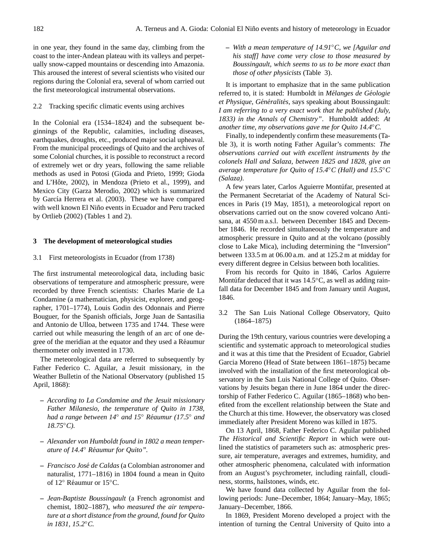in one year, they found in the same day, climbing from the coast to the inter-Andean plateau with its valleys and perpetually snow-capped mountains or descending into Amazonia. This aroused the interest of several scientists who visited our regions during the Colonial era, several of whom carried out the first meteorological instrumental observations.

# 2.2 Tracking specific climatic events using archives

In the Colonial era (1534–1824) and the subsequent beginnings of the Republic, calamities, including diseases, earthquakes, droughts, etc., produced major social upheaval. From the municipal proceedings of Quito and the archives of some Colonial churches, it is possible to reconstruct a record of extremely wet or dry years, following the same reliable methods as used in Potosi (Gioda and Prieto, 1999; Gioda and L'Hôte, 2002), in Mendoza (Prieto et al., 1999), and Mexico City (Garza Merodio, 2002) which is summarized by García Herrera et al. (2003). These we have compared with well known El Niño events in Ecuador and Peru tracked by Ortlieb (2002) (Tables 1 and 2).

# **3 The development of meteorological studies**

3.1 First meteorologists in Ecuador (from 1738)

The first instrumental meteorological data, including basic observations of temperature and atmospheric pressure, were recorded by three French scientists: Charles Marie de La Condamine (a mathematician, physicist, explorer, and geographer, 1701–1774), Louis Godin des Odonnais and Pierre Bouguer, for the Spanish officials, Jorge Juan de Santasilia and Antonio de Ulloa, between 1735 and 1744. These were carried out while measuring the length of an arc of one degree of the meridian at the equator and they used a Reaumur ´ thermometer only invented in 1730.

The meteorological data are referred to subsequently by Father Federico C. Aguilar, a Jesuit missionary, in the Weather Bulletin of the National Observatory (published 15 April, 1868):

- **–** *According to La Condamine and the Jesuit missionary Father Milanesio, the temperature of Quito in 1738, had a range between 14*◦ *and 15*◦ *Reaumur (17.5 ´* ◦ *and 18.75*◦*C).*
- **–** *Alexander von Humboldt found in 1802 a mean temperature of 14.4*◦ *Reaumur for Quito". ´*
- **–** *Francisco Jose de Caldas ´* (a Colombian astronomer and naturalist, 1771–1816) in 1804 found a mean in Quito of 12° Réaumur or 15°C.
- **–** *Jean-Baptiste Boussingault* (a French agronomist and chemist, 1802–1887), *who measured the air temperature at a short distance from the ground, found for Quito in 1831, 15.2*◦*C.*

**–** *With a mean temperature of 14.91*◦*C, we [Aguilar and his staff] have come very close to those measured by Boussingault, which seems to us to be more exact than those of other physicists* (Table 3).

It is important to emphasize that in the same publication referred to, it is stated: Humboldt in *Mélanges de Géologie et Physique, Généralités, says speaking about Boussingault: I am referring to a very exact work that he published (July, 1833) in the Annals of Chemistry"*. Humboldt added: *At another time, my observations gave me for Quito 14.4*◦*C.*

Finally, to independently confirm these measurements (Table 3), it is worth noting Father Aguilar's comments: *The observations carried out with excellent instruments by the colonels Hall and Salaza, between 1825 and 1828, give an average temperature for Quito of 15.4*◦*C (Hall) and 15.5*◦*C (Salaza)*.

A few years later, Carlos Aguierre Montufar, presented at ´ the Permanent Secretariat of the Academy of Natural Sciences in Paris (19 May, 1851), a meteorological report on observations carried out on the snow covered volcano Antisana, at 4550 m a.s.l. between December 1845 and December 1846. He recorded simultaneously the temperature and atmospheric pressure in Quito and at the volcano (possibly close to Lake Mica), including determining the "Inversion" between 133.5 m at 06.00 a.m. and at 125.2 m at midday for every different degree in Celsius between both localities.

From his records for Quito in 1846, Carlos Aguierre Montúfar deduced that it was  $14.5^{\circ}$ C, as well as adding rainfall data for December 1845 and from January until August, 1846.

3.2 The San Luis National College Observatory, Quito (1864–1875)

During the 19th century, various countries were developing a scientific and systematic approach to meteorological studies and it was at this time that the President of Ecuador, Gabriel Garcia Moreno (Head of State between 1861–1875) became involved with the installation of the first meteorological observatory in the San Luis National College of Quito. Observations by Jesuits began there in June 1864 under the directorship of Father Federico C. Aguilar (1865–1868) who benefited from the excellent relationship between the State and the Church at this time. However, the observatory was closed immediately after President Moreno was killed in 1875.

On 13 April, 1868, Father Federico C. Aguilar published *The Historical and Scientific Report* in which were outlined the statistics of parameters such as: atmospheric pressure, air temperature, averages and extremes, humidity, and other atmospheric phenomena, calculated with information from an August's psychrometer, including rainfall, cloudiness, storms, hailstones, winds, etc.

We have found data collected by Aguilar from the following periods: June–December, 1864; January–May, 1865; January–December, 1866.

In 1869, President Moreno developed a project with the intention of turning the Central University of Quito into a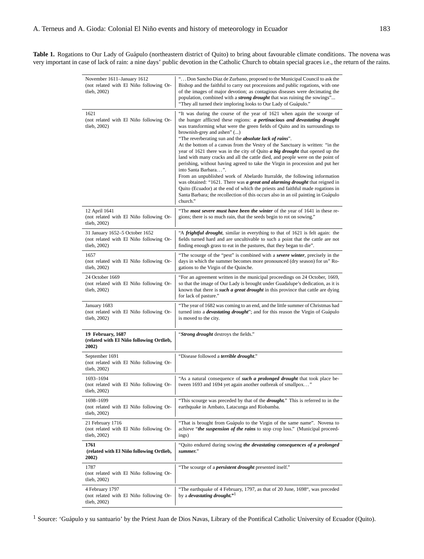Table 1. Rogations to Our Lady of Guápulo (northeastern district of Quito) to bring about favourable climate conditions. The novena was very important in case of lack of rain: a nine days' public devotion in the Catholic Church to obtain special graces i.e., the return of the rains.

| November 1611–January 1612<br>(not related with El Niño following Or-<br>tlieb, 2002)     | "Don Sancho Díaz de Zurbano, proposed to the Municipal Council to ask the<br>Bishop and the faithful to carry out processions and public rogations, with one<br>of the images of major devotion; as contagious diseases were decimating the<br>population, combined with a <i>strong drought</i> that was ruining the sowings"<br>"They all turned their imploring looks to Our Lady of Guápulo."                                                                                                                                                                                                                                                                                                                                                                                                                                                                                                                                                                                                                                                          |  |
|-------------------------------------------------------------------------------------------|------------------------------------------------------------------------------------------------------------------------------------------------------------------------------------------------------------------------------------------------------------------------------------------------------------------------------------------------------------------------------------------------------------------------------------------------------------------------------------------------------------------------------------------------------------------------------------------------------------------------------------------------------------------------------------------------------------------------------------------------------------------------------------------------------------------------------------------------------------------------------------------------------------------------------------------------------------------------------------------------------------------------------------------------------------|--|
| 1621<br>(not related with El Niño following Or-<br>tlieb, 2002)                           | "It was during the course of the year of 1621 when again the scourge of<br>the hunger afflicted these regions: a pertinacious and devastating drought<br>was transforming what were the green fields of Quito and its surroundings to<br>brownish-grey and ashen" ()<br>"The reverberating sun and the <i>absolute lack of rains</i> ".<br>At the bottom of a canvas from the Vestry of the Sanctuary is written: "in the<br>year of 1621 there was in the city of Quito <i>a big drought</i> that opened up the<br>land with many cracks and all the cattle died, and people were on the point of<br>perishing, without having agreed to take the Virgin in procession and put her<br>into Santa Barbara".<br>From an unpublished work of Abelardo Iturralde, the following information<br>was obtained: "1621. There was a great and alarming drought that reigned in<br>Quito (Ecuador) at the end of which the priests and faithful made rogations in<br>Santa Barbara; the recollection of this occurs also in an oil painting in Guápulo<br>church." |  |
| 12 April 1641<br>(not related with El Niño following Or-<br>tlieb, 2002)                  | "The most severe must have been the winter of the year of 1641 in these re-<br>gions; there is so much rain, that the seeds begin to rot on sowing."                                                                                                                                                                                                                                                                                                                                                                                                                                                                                                                                                                                                                                                                                                                                                                                                                                                                                                       |  |
| 31 January 1652-5 October 1652<br>(not related with El Niño following Or-<br>tlieb, 2002) | "A <i>frightful drought</i> , similar in everything to that of 1621 is felt again: the<br>fields turned hard and are uncultivable to such a point that the cattle are not<br>finding enough grass to eat in the pastures, that they began to die".                                                                                                                                                                                                                                                                                                                                                                                                                                                                                                                                                                                                                                                                                                                                                                                                         |  |
| 1657<br>(not related with El Niño following Or-<br>tlieb, 2002)                           | "The scourge of the "pest" is combined with a <i>severe winter</i> , precisely in the<br>days in which the summer becomes more pronounced (dry season) for us" Ro-<br>gations to the Virgin of the Quinche.                                                                                                                                                                                                                                                                                                                                                                                                                                                                                                                                                                                                                                                                                                                                                                                                                                                |  |
| 24 October 1669<br>(not related with El Niño following Or-<br>tlieb, 2002)                | "For an agreement written in the municipal proceedings on 24 October, 1669,<br>so that the image of Our Lady is brought under Guadalupe's dedication, as it is<br>known that there is <i>such a great drought</i> in this province that cattle are dying<br>for lack of pasture."                                                                                                                                                                                                                                                                                                                                                                                                                                                                                                                                                                                                                                                                                                                                                                          |  |
| January 1683<br>(not related with El Niño following Or-<br>tlieb, 2002)                   | "The year of 1682 was coming to an end, and the little summer of Christmas had<br>turned into a <i>devastating drought</i> "; and for this reason the Virgin of Guápulo<br>is moved to the city.                                                                                                                                                                                                                                                                                                                                                                                                                                                                                                                                                                                                                                                                                                                                                                                                                                                           |  |
| 19 February, 1687<br>(related with El Niño following Ortlieb,<br>2002)                    | "Strong drought destroys the fields."                                                                                                                                                                                                                                                                                                                                                                                                                                                                                                                                                                                                                                                                                                                                                                                                                                                                                                                                                                                                                      |  |
| September 1691<br>(not related with El Niño following Or-<br>tlieb, 2002)                 | "Disease followed a <i>terrible drought.</i> "                                                                                                                                                                                                                                                                                                                                                                                                                                                                                                                                                                                                                                                                                                                                                                                                                                                                                                                                                                                                             |  |
| 1693-1694<br>(not related with El Niño following Or-<br>tlieb, 2002)                      | "As a natural consequence of <i>such a prolonged drought</i> that took place be-<br>tween 1693 and 1694 yet again another outbreak of smallpox"                                                                                                                                                                                                                                                                                                                                                                                                                                                                                                                                                                                                                                                                                                                                                                                                                                                                                                            |  |
| 1698–1699<br>(not related with El Niño following Or-<br>tlieb, 2002)                      | "This scourge was preceded by that of the <i>drought</i> ." This is referred to in the<br>earthquake in Ambato, Latacunga and Riobamba.                                                                                                                                                                                                                                                                                                                                                                                                                                                                                                                                                                                                                                                                                                                                                                                                                                                                                                                    |  |
| 21 February 1716<br>(not related with El Niño following Or-<br>tlieb, 2002)               | "That is brought from Guápulo to the Virgin of the same name". Novena to<br>achieve "the suspension of the rains to stop crop loss." (Municipal proceed-<br>ings)                                                                                                                                                                                                                                                                                                                                                                                                                                                                                                                                                                                                                                                                                                                                                                                                                                                                                          |  |
| 1761<br>(related with El Niño following Ortlieb,<br>2002)                                 | "Quito endured during sowing the devastating consequences of a prolonged<br>summer."                                                                                                                                                                                                                                                                                                                                                                                                                                                                                                                                                                                                                                                                                                                                                                                                                                                                                                                                                                       |  |
| 1787<br>(not related with El Niño following Or-<br>tlieb, 2002)                           | "The scourge of a <i>persistent drought</i> presented itself."                                                                                                                                                                                                                                                                                                                                                                                                                                                                                                                                                                                                                                                                                                                                                                                                                                                                                                                                                                                             |  |
| 4 February 1797<br>(not related with El Niño following Or-<br>tlieb, 2002)                | "The earthquake of 4 February, 1797, as that of 20 June, 1698", was preceded<br>by a <i>devastating drought.</i> " <sup>1</sup>                                                                                                                                                                                                                                                                                                                                                                                                                                                                                                                                                                                                                                                                                                                                                                                                                                                                                                                            |  |

<sup>1</sup> Source: 'Guápulo y su santuario' by the Priest Juan de Dios Navas, Library of the Pontifical Catholic University of Ecuador (Quito).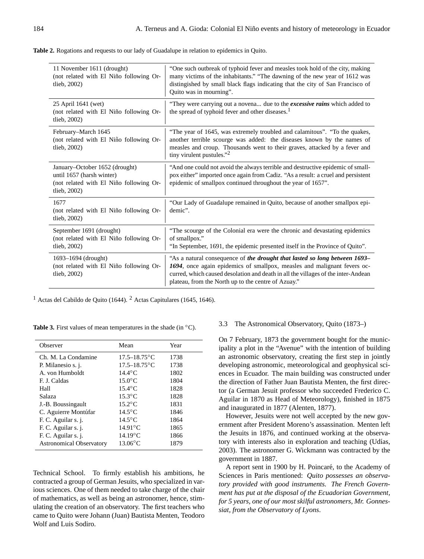| <b>Table 2.</b> Rogations and requests to our lady of Guadalupe in relation to epidemics in Ouito. |  |  |  |
|----------------------------------------------------------------------------------------------------|--|--|--|
|----------------------------------------------------------------------------------------------------|--|--|--|

| 11 November 1611 (drought)<br>(not related with El Niño following Or-<br>tlieb, $2002$ )                               | "One such outbreak of typhoid fever and measles took hold of the city, making<br>many victims of the inhabitants." "The dawning of the new year of 1612 was<br>distingished by small black flags indicating that the city of San Francisco of<br>Quito was in mourning".                           |  |
|------------------------------------------------------------------------------------------------------------------------|----------------------------------------------------------------------------------------------------------------------------------------------------------------------------------------------------------------------------------------------------------------------------------------------------|--|
| 25 April 1641 (wet)<br>(not related with El Niño following Or-<br>tlieb, $2002$ )                                      | "They were carrying out a novena due to the <i>excessive rains</i> which added to<br>the spread of typhoid fever and other diseases. <sup>1</sup>                                                                                                                                                  |  |
| February-March 1645<br>(not related with El Niño following Or-<br>tlieb, 2002)                                         | "The year of 1645, was extremely troubled and calamitous". "To the quakes,<br>another terrible scourge was added: the diseases known by the names of<br>measles and croup. Thousands went to their graves, attacked by a fever and<br>tiny virulent pustules." <sup>2</sup>                        |  |
| January–October 1652 (drought)<br>until 1657 (harsh winter)<br>(not related with El Niño following Or-<br>tlieb, 2002) | "And one could not avoid the always terrible and destructive epidemic of small-<br>pox either" imported once again from Cadiz. "As a result: a cruel and persistent<br>epidemic of smallpox continued throughout the year of 1657".                                                                |  |
| 1677<br>(not related with El Niño following Or-<br>tlieb, $2002$ )                                                     | "Our Lady of Guadalupe remained in Quito, because of another smallpox epi-<br>demic".                                                                                                                                                                                                              |  |
| September 1691 (drought)<br>(not related with El Niño following Or-<br>tlieb, 2002)                                    | "The scourge of the Colonial era were the chronic and devastating epidemics<br>of smallpox."<br>"In September, 1691, the epidemic presented itself in the Province of Quito".                                                                                                                      |  |
| $1693 - 1694$ (drought)<br>(not related with El Niño following Or-<br>tlieb, 2002)                                     | "As a natural consequence of the drought that lasted so long between 1693-<br>1694, once again epidemics of smallpox, measles and malignant fevers oc-<br>curred, which caused desolation and death in all the villages of the inter-Andean<br>plateau, from the North up to the centre of Azuay." |  |

<sup>1</sup> Actas del Cabildo de Quito (1644). <sup>2</sup> Actas Capitulares (1645, 1646).

**Table 3.** First values of mean temperatures in the shade (in ◦C).

| Observer                        | Mean              | Year |
|---------------------------------|-------------------|------|
| Ch. M. La Condamine             | $17.5 - 18.75$ °C | 1738 |
| P. Milanesio s. j.              | $17.5 - 18.75$ °C | 1738 |
| A. von Humboldt                 | $14.4^{\circ}$ C  | 1802 |
| F. J. Caldas                    | $15.0$ °C         | 1804 |
| Hall                            | $15.4^{\circ}$ C  | 1828 |
| Salaza                          | $15.3$ °C         | 1828 |
| J.-B. Boussingault              | $15.2$ °C         | 1831 |
| C. Aguierre Montúfar            | $14.5^{\circ}$ C  | 1846 |
| F. C. Aguilar s. j.             | $14.5^{\circ}$ C  | 1864 |
| F. C. Aguilar s. j.             | $14.91^{\circ}$ C | 1865 |
| F. C. Aguilar s. j.             | $14.19^{\circ}$ C | 1866 |
| <b>Astronomical Observatory</b> | $13.06^{\circ}$ C | 1879 |

Technical School. To firmly establish his ambitions, he contracted a group of German Jesuits, who specialized in various sciences. One of them needed to take charge of the chair of mathematics, as well as being an astronomer, hence, stimulating the creation of an observatory. The first teachers who came to Quito were Johann (Juan) Bautista Menten, Teodoro Wolf and Luis Sodiro.

#### 3.3 The Astronomical Observatory, Quito (1873–)

On 7 February, 1873 the government bought for the municipality a plot in the "Avenue" with the intention of building an astronomic observatory, creating the first step in jointly developing astronomic, meteorological and geophysical sciences in Ecuador. The main building was constructed under the direction of Father Juan Bautista Menten, the first director (a German Jesuit professor who succeeded Frederico C. Aguilar in 1870 as Head of Meteorology), finished in 1875 and inaugurated in 1877 (Alenten, 1877).

However, Jesuits were not well accepted by the new government after President Moreno's assassination. Menten left the Jesuits in 1876, and continued working at the observatory with interests also in exploration and teaching (Udías, 2003). The astronomer G. Wickmann was contracted by the government in 1887.

A report sent in 1900 by H. Poincaré, to the Academy of Sciences in Paris mentioned: *Quito possesses an observatory provided with good instruments. The French Government has put at the disposal of the Ecuadorian Government, for 5 years, one of our most skilful astronomers, Mr. Gonnessiat, from the Observatory of Lyons*.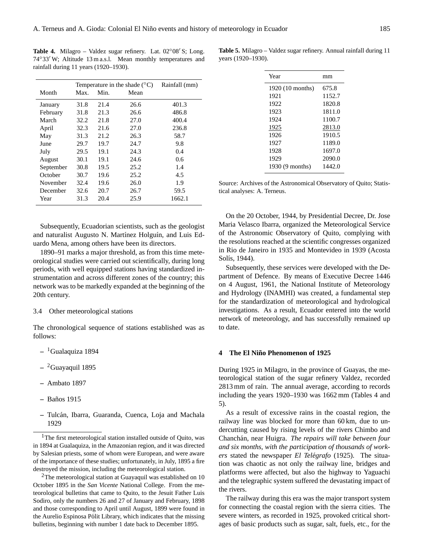Table 4. Milagro – Valdez sugar refinery. Lat. 02°08' S; Long. 74°33′ W; Altitude 13 m a.s.l. Mean monthly temperatures and rainfall during 11 years (1920–1930).

|           | Temperature in the shade $(^{\circ}C)$ |      |      | Rainfall (mm) |
|-----------|----------------------------------------|------|------|---------------|
| Month     | Max.                                   | Min. | Mean |               |
| January   | 31.8                                   | 21.4 | 26.6 | 401.3         |
| February  | 31.8                                   | 21.3 | 26.6 | 486.8         |
| March     | 32.2                                   | 21.8 | 27.0 | 400.4         |
| April     | 32.3                                   | 21.6 | 27.0 | 236.8         |
| May       | 31.3                                   | 21.2 | 26.3 | 58.7          |
| June      | 29.7                                   | 19.7 | 24.7 | 9.8           |
| July      | 29.5                                   | 19.1 | 24.3 | 0.4           |
| August    | 30.1                                   | 19.1 | 24.6 | 0.6           |
| September | 30.8                                   | 19.5 | 25.2 | 1.4           |
| October   | 30.7                                   | 19.6 | 25.2 | 4.5           |
| November  | 32.4                                   | 19.6 | 26.0 | 1.9           |
| December  | 32.6                                   | 20.7 | 26.7 | 59.5          |
| Year      | 31.3                                   | 20.4 | 25.9 | 1662.1        |

Subsequently, Ecuadorian scientists, such as the geologist and naturalist Augusto N. Martínez Holguín, and Luis Eduardo Mena, among others have been its directors.

1890–91 marks a major threshold, as from this time meteorological studies were carried out scientifically, during long periods, with well equipped stations having standardized instrumentation and across different zones of the country; this network was to be markedly expanded at the beginning of the 20th century.

#### 3.4 Other meteorological stations

The chronological sequence of stations established was as follows:

- **–** [1](#page-4-0)Gualaquiza 1894
- **–** [2](#page-4-1)Guayaquil 1895
- **–** Ambato 1897
- **–** Banos 1915 ˜
- **–** Tulcan, Ibarra, Guaranda, Cuenca, Loja and Machala ´ 1929

<span id="page-4-0"></span><sup>1</sup>The first meteorological station installed outside of Quito, was in 1894 at Gualaquiza, in the Amazonian region, and it was directed by Salesian priests, some of whom were European, and were aware of the importance of these studies; unfortunately, in July, 1895 a fire destroyed the mission, including the meteorological station.

<span id="page-4-1"></span><sup>2</sup>The meteorological station at Guayaquil was established on 10 October 1895 in the *San Vicente* National College. From the meteorological bulletins that came to Quito, to the Jesuit Father Luis Sodiro, only the numbers 26 and 27 of January and February, 1898 and those corresponding to April until August, 1899 were found in the Aurelio Espinosa Pólit Library, which indicates that the missing bulletins, beginning with number 1 date back to December 1895.

**Table 5.** Milagro – Valdez sugar refinery. Annual rainfall during 11 years (1920–1930).

| Year             | mm     |
|------------------|--------|
| 1920 (10 months) | 675.8  |
| 1921             | 1152.7 |
| 1922             | 1820.8 |
| 1923             | 1811.0 |
| 1924             | 1100.7 |
| 1925             | 2813.0 |
| 1926             | 1910.5 |
| 1927             | 1189.0 |
| 1928             | 1697.0 |
| 1929             | 2090.0 |
| 1930 (9 months)  | 1442.0 |

Source: Archives of the Astronomical Observatory of Quito; Statistical analyses: A. Terneus.

On the 20 October, 1944, by Presidential Decree, Dr. Jose Maria Velasco Ibarra, organized the Meteorological Service of the Astronomic Observatory of Quito, complying with the resolutions reached at the scientific congresses organized in Rio de Janeiro in 1935 and Montevideo in 1939 (Acosta Solís, 1944).

Subsequently, these services were developed with the Department of Defence. By means of Executive Decree 1446 on 4 August, 1961, the National Institute of Meteorology and Hydrology (INAMHI) was created, a fundamental step for the standardization of meteorological and hydrological investigations. As a result, Ecuador entered into the world network of meteorology, and has successfully remained up to date.

#### **4** The El Niño Phenomenon of 1925

During 1925 in Milagro, in the province of Guayas, the meteorological station of the sugar refinery Valdez, recorded 2813 mm of rain. The annual average, according to records including the years 1920–1930 was 1662 mm (Tables 4 and 5).

As a result of excessive rains in the coastal region, the railway line was blocked for more than 60 km, due to undercutting caused by rising levels of the rivers Chimbo and Chanchán, near Huigra. The repairs will take between four *and six months, with the participation of thousands of workers* stated the newspaper *El Telégrafo* (1925). The situation was chaotic as not only the railway line, bridges and platforms were affected, but also the highway to Yaguachi and the telegraphic system suffered the devastating impact of the rivers.

The railway during this era was the major transport system for connecting the coastal region with the sierra cities. The severe winters, as recorded in 1925, provoked critical shortages of basic products such as sugar, salt, fuels, etc., for the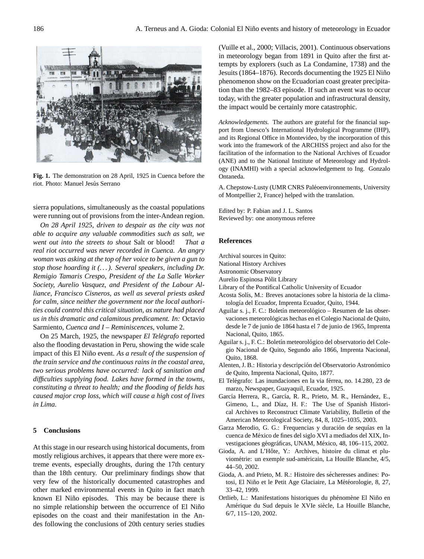

Fig. 1. The demonstration on 28 April, 1925 in Cuenca before the On 25th March, 1925, the newspaper *El Telégrafo* reported also the flooding riot. Photo: Manuel Jesús Serrano

*As a result of the suspension of the train service and the continuous rains in the*  sierra populations, simultaneously as the coastal populations were running out of provisions from the inter-Andean region.

*On 28 April 1925, driven to despair as the city was not able to acquire any valuable commodities such as salt, we went out into the streets to shout* Salt or blood! *That a real riot occurred was never recorded in Cuenca. An angry woman was asking at the top of her voice to be given a gun to stop those hoarding it (. . . ). Several speakers, including Dr. Remigio Tamaris Crespo, President of the La Salle Worker Society, Aurelio Vasquez, and President of the Labour Alliance, Francisco Cisneros, as well as several priests asked for calm, since neither the government nor the local authorities could control this critical situation, as nature had placed us in this dramatic and calamitous predicament. In:* Octavio Sarmiento, *Cuenca and I – Reminiscences*, volume 2.

On 25 March, 1925, the newspaper *El Telégrafo* reported also the flooding devastation in Peru, showing the wide scale impact of this El Niño event. As a result of the suspension of *the train service and the continuous rains in the coastal area, two serious problems have occurred: lack of sanitation and difficulties supplying food. Lakes have formed in the towns, constituting a threat to health; and the flooding of fields has caused major crop loss, which will cause a high cost of lives in Lima.*

#### **5 Conclusions**

At this stage in our research using historical documents, from mostly religious archives, it appears that there were more extreme events, especially droughts, during the 17th century than the 18th century. Our preliminary findings show that very few of the historically documented catastrophes and other marked environmental events in Quito in fact match known El Niño episodes. This may be because there is no simple relationship between the occurrence of El Niño episodes on the coast and their manifestation in the Andes following the conclusions of 20th century series studies

(Vuille et al., 2000; Villacis, 2001). Continuous observations in meteorology began from 1891 in Quito after the first attempts by explorers (such as La Condamine, 1738) and the Jesuits (1864–1876). Records documenting the 1925 El Niño phenomenon show on the Ecuadorian coast greater precipitation than the 1982–83 episode. If such an event was to occur today, with the greater population and infrastructural density, the impact would be certainly more catastrophic.

*Acknowledgements.* The authors are grateful for the financial support from Unesco's International Hydrological Programme (IHP), and its Regional Office in Montevideo, by the incorporation of this work into the framework of the ARCHISS project and also for the facilitation of the information to the National Archives of Ecuador (ANE) and to the National Institute of Meteorology and Hydrology (INAMHI) with a special acknowledgement to Ing. Gonzalo Ontaneda.

A. Chepstow-Lusty (UMR CNRS Paléoenvironnements, University of Montpellier 2, France) helped with the translation.

Edited by: P. Fabian and J. L. Santos Reviewed by: one anonymous referee

#### **References**

- Archival sources in Quito:
- National History Archives
- Astronomic Observatory
- Aurelio Espinosa Polit Library ´
- Library of the Pontifical Catholic University of Ecuador
- Acosta Solís, M.: Breves anotaciones sobre la historia de la climatología del Ecuador, Imprenta Ecuador, Quito, 1944.
- Aguilar s. j., F. C.: Boletín meteorológico Resumen de las observaciones meteorológicas hechas en el Colegio Nacional de Quito, desde le 7 de junio de 1864 hasta el 7 de junio de 1965, Imprenta Nacional, Quito, 1865.
- Aguilar s. j., F. C.: Boletín meteorológico del observatorio del Colegio Nacional de Quito, Segundo año 1866, Imprenta Nacional, Quito, 1868.
- Alenten, J. B.: Historia y descripción del Observatorio Astronómico de Quito, Imprenta Nacional, Quito, 1877.
- El Telégrafo: Las inundaciones en la via férrea, no. 14.280, 23 de marzo, Newspaper, Guayaquil, Ecuador, 1925.
- García Herrera, R., García, R. R., Prieto, M. R., Hernández, E., Gimeno, L., and Díaz, H. F.: The Use of Spanish Historical Archives to Reconstruct Climate Variability, Bulletin of the American Meteorological Society, 84, 8, 1025–1035, 2003.
- Garza Merodio, G. G.: Frequencias y duración de sequías en la cuenca de Mexico de fines del siglo XVI a mediados del XIX, In- ´ vestigaciones géográficas, UNAM, México, 48, 106–115, 2002.
- Gioda, A. and L'Hôte, Y.: Archives, histoire du climat et pluviométrie: un exemple sud-américain, La Houille Blanche, 4/5, 44–50, 2002.
- Gioda, A. and Prieto, M. R.: Histoire des sécheresses andines: Potosi, El Niño et le Petit Age Glaciaire, La Météorologie, 8, 27, 33–42, 1999.
- Ortlieb, L.: Manifestations historiques du phénomène El Niño en Amérique du Sud depuis le XVIe siècle, La Houille Blanche, 6/7, 115–120, 2002.